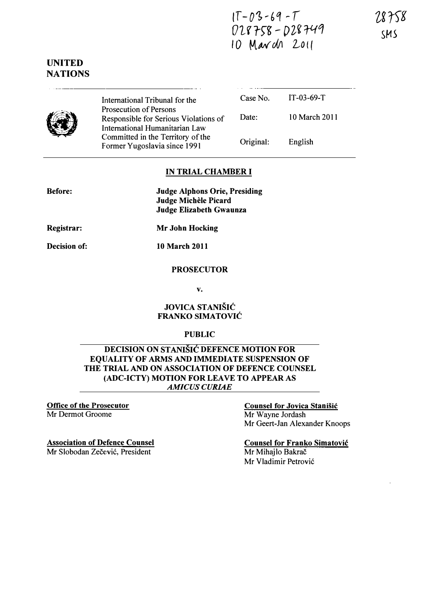$1T - 03 - 69 - T$  $018758 - 028749$ 10 March 2011

### UNITED **NATIONS**



International Tribunal for the Prosecution of Persons Responsible for Serious Violations of International Humanitarian Law Committed in the Territory of the Former Yugoslavia since 1991

| Case No.  | $IT-03-69-T$  |
|-----------|---------------|
| Date:     | 10 March 2011 |
| Original: | English       |

#### IN TRIAL CHAMBER I

Before:

Judge Alphons Orie, Presiding **Judge Michèle Picard** Judge Elizabeth Gwaunza

Registrar: Mr John Hocking

Decision of: 10 March 2011

# PROSECUTOR

v.

#### JOVICA STANISIC FRANKO SIMATOVIC

#### PUBLIC

#### DECISION ON STANISIC DEFENCE MOTION FOR EQUALITY OF ARMS AND IMMEDIATE SUSPENSION OF THE TRIAL AND ON ASSOCIATION OF DEFENCE COUNSEL (ADC-ICTY) MOTION FOR LEAVE TO APPEAR AS AMICUS CURIAE

#### Office of the Prosecutor Mr Dermot Groome

### Counsel for Jovica Stanisic

Mr Wayne Jordash Mr Geert-Jan Alexander Knoops

#### Association of Defence Counsel

Mr Slobodan Zečević, President

Counsel for Franko Simatovic Mr Mihajlo Bakrač Mr Vladimir Petrović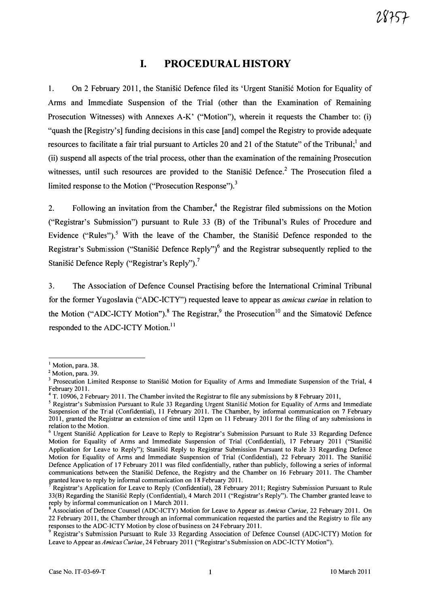## I. PROCEDURAL HISTORY

1. On 2 February 2011, the Stanisic Defence filed its 'Urgent Stanisic Motion for Equality of Arms and Immediate Suspension of the Trial (other than the Examination of Remaining Prosecution Witnesses) with Annexes A-K' ("Motion"), wherein it requests the Chamber to: (i) "quash the [Registry's] funding decisions in this case [and] compel the Registry to provide adequate resources to facilitate a fair trial pursuant to Articles 20 and 21 of the Statute" of the Tribunal; and (ii) suspend all aspects of the trial process, other than the examination of the remaining Prosecution witnesses, until such resources are provided to the Stanistic Defence.<sup>2</sup> The Prosecution filed a limited response to the Motion ("Prosecution Response").<sup>3</sup>

2. Following an invitation from the Chamber,<sup>4</sup> the Registrar filed submissions on the Motion ("Registrar's Submission") pursuant to Rule 33 (B) of the Tribunal's Rules of Procedure and Evidence ("Rules").<sup>5</sup> With the leave of the Chamber, the Stanisic Defence responded to the Registrar's Submission ("Stanišić Defence Reply")<sup>6</sup> and the Registrar subsequently replied to the Stanišić Defence Reply ("Registrar's Reply").<sup>7</sup>

3. The Association of Defence Counsel Practising before the International Criminal Tribunal for the former Yugoslavia ("ADC-ICTY") requested leave to appear as amicus curiae in relation to the Motion ("ADC-ICTY Motion").<sup>8</sup> The Registrar,  $9$  the Prosecution<sup>10</sup> and the Simatović Defence responded to the ADC-ICTY Motion.<sup>11</sup>

 $<sup>1</sup>$  Motion, para. 38.</sup>

<sup>&</sup>lt;sup>2</sup> Motion, para. 39.

Prosecution Limited Response to Stanišić Motion for Equality of Arms and Immediate Suspension of the Trial, 4 February 2011.

<sup>4</sup>T. 10906,2 February 2011. The Chamber invited the Registrar to file any submissions by 8 February 2011,

<sup>&</sup>lt;sup>5</sup> Registrar's Submission Pursuant to Rule 33 Regarding Urgent Stanišic Motion for Equality of Arms and Immediate Suspension of the Trial (Confidential), 11 February 2011. The Chamber, by informal communication on 7 February 2011, granted the Registrar an extension of time until 12pm on 11 February 2011 for the filing of any submissions in relation to the Motion.

<sup>&</sup>lt;sup>6</sup> Urgent Stanišić Application for Leave to Reply to Registrar's Submission Pursuant to Rule 33 Regarding Defence Motion for Equality of Arms and Immediate Suspension of Trial (Confidential), 17 February 2011 ("Stanišić Application for Leave to Reply"); Stanišić Reply to Registrar Submission Pursuant to Rule 33 Regarding Defence Motion for Equality of Arms and Immediate Suspension of Trial (Confidential), 22 February 2011. The Stanisić Defence Application of 17 February 2011 was filed confidentially, rather than publicly, following a series of informal communications between the Stanišić Defence, the Registry and the Chamber on 16 February 2011. The Chamber granted leave to reply by informal communication on 18 February 2011.

<sup>7</sup>Registrar's Application for Leave to Reply (Confidential), 28 February 2011; Registry Submission Pursuant to Rule 33(B) Regarding the Stanisic Reply (Confidential), 4 March 2011 ("Registrar's Reply"). The Chamber granted leave to reply by informal communication on 1 March 2011.

<sup>&</sup>lt;sup>8</sup> Association of Defence Counsel (ADC-ICTY) Motion for Leave to Appear as Amicus Curiae, 22 February 2011. On 22 February 2011, the Chamber through an informal communication requested the parties and the Registry to file any responses to the ADC·ICTY Motion by close of business on 24 February 2011.

<sup>&</sup>lt;sup>9</sup> Registrar's Submission Pursuant to Rule 33 Regarding Association of Defence Counsel (ADC-ICTY) Motion for Leave to Appear as Amicus Curiae, 24 February 2011 ("Registrar's Submission on ADC-ICTY Motion").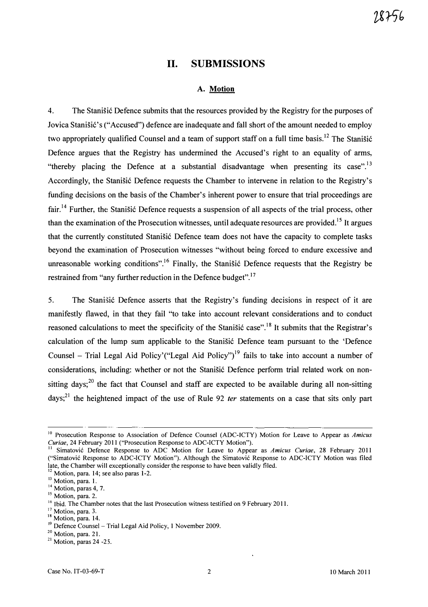### 11. SUBMISSIONS

#### A. Motion

4. The Stanistic Defence submits that the resources provided by the Registry for the purposes of Jovica Stanišić's ("Accused") defence are inadequate and fall short of the amount needed to employ two appropriately qualified Counsel and a team of support staff on a full time basis.<sup>12</sup> The Stanišić Defence argues that the Registry has undermined the Accused's right to an equality of arms, "thereby placing the Defence at a substantial disadvantage when presenting its case".<sup>13</sup> Accordingly, the Stanišić Defence requests the Chamber to intervene in relation to the Registry's funding decisions on the basis of the Chamber's inherent power to ensure that trial proceedings are fair.<sup>14</sup> Further, the Stanišić Defence requests a suspension of all aspects of the trial process, other than the examination of the Prosecution witnesses, until adequate resources are provided.<sup>15</sup> It argues that the currently constituted Stanišić Defence team does not have the capacity to complete tasks beyond the examination of Prosecution witnesses "without being forced to endure excessive and unreasonable working conditions".<sup>16</sup> Finally, the Stanišić Defence requests that the Registry be restrained from "any further reduction in the Defence budget".<sup>17</sup>

5. The Stanisic Defence asserts that the Registry's funding decisions in respect of it are manifestly flawed, in that they fail "to take into account relevant considerations and to conduct reasoned calculations to meet the specificity of the Stanistic case".<sup>18</sup> It submits that the Registrar's calculation of the lump sum applicable to the Stanišić Defence team pursuant to the 'Defence Counsel – Trial Legal Aid Policy'("Legal Aid Policy")<sup>19</sup> fails to take into account a number of considerations, including: whether or not the Stanišić Defence perform trial related work on nonsitting days;<sup>20</sup> the fact that Counsel and staff are expected to be available during all non-sitting days;<sup>21</sup> the heightened impact of the use of Rule 92 *ter* statements on a case that sits only part

<sup>&</sup>lt;sup>10</sup> Prosecution Response to Association of Defence Counsel (ADC-ICTY) Motion for Leave to Appear as Amicus Curiae, 24 February 2011 ("Prosecution Response to ADC-ICTY Motion").

Simatović Defence Response to ADC Motion for Leave to Appear as Amicus Curiae, 28 February 2011 ("Simatovic Response to ADC-ICTY Motion"). Although the Simatovic Response to ADC-ICTY Motion was filed late, the Chamber will exceptionally consider the response to have been validly filed.<br><sup>12</sup>. March 14.

Motion, para. 14; see also paras 1-2.

 $^{13}$  Motion, para. 1.

 $14$  Motion, paras 4, 7.

<sup>&</sup>lt;sup>15</sup> Motion, para. 2.

<sup>&</sup>lt;sup>16</sup> Ibid. The Chamber notes that the last Prosecution witness testified on 9 February 2011.

<sup>&</sup>lt;sup>17</sup> Motion, para. 3.

<sup>&</sup>lt;sup>18</sup> Motion, para. 14.

 $19$  Defence Counsel – Trial Legal Aid Policy, 1 November 2009.

<sup>&</sup>lt;sup>20</sup> Motion, para. 21.

 $21$  Motion, paras 24 -25.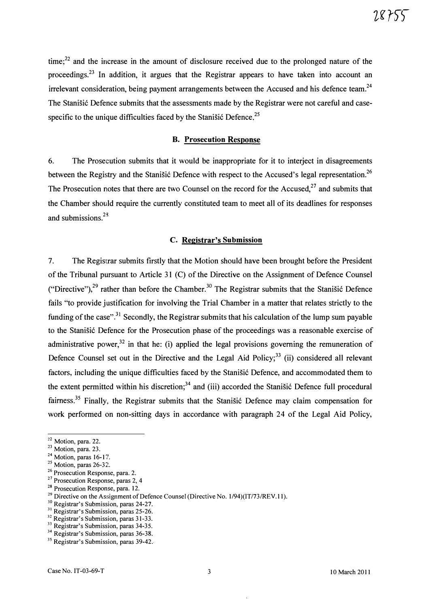$time$ ;<sup>22</sup> and the increase in the amount of disclosure received due to the prolonged nature of the proceedings.<sup>23</sup> In addition, it argues that the Registrar appears to have taken into account an irrelevant consideration, being payment arrangements between the Accused and his defence team.<sup>24</sup> The Stanišić Defence submits that the assessments made by the Registrar were not careful and casespecific to the unique difficulties faced by the Stanisic Defence.<sup>25</sup>

#### B. Prosecution Response

6. The Prosecution submits that it would be inappropriate for it to interject in disagreements between the Registry and the Stanišić Defence with respect to the Accused's legal representation.<sup>26</sup> The Prosecution notes that there are two Counsel on the record for the Accused, $27$  and submits that the Chamber should require the currently constituted team to meet all of its deadlines for responses and submissions.<sup>28</sup>

#### c. Registrar's Submission

7. The Registrar submits firstly that the Motion should have been brought before the President of the Tribunal pursuant to Article 31 (C) of the Directive on the Assignment of Defence Counsel ("Directive"),<sup>29</sup> rather than before the Chamber.<sup>30</sup> The Registrar submits that the Stanišić Defence fails "to provide justification for involving the Trial Chamber in a matter that relates strictly to the funding of the case".<sup>31</sup> Secondly, the Registrar submits that his calculation of the lump sum payable to the Stanišić Defence for the Prosecution phase of the proceedings was a reasonable exercise of administrative power,<sup>32</sup> in that he: (i) applied the legal provisions governing the remuneration of Defence Counsel set out in the Directive and the Legal Aid Policy;<sup>33</sup> (ii) considered all relevant factors, including the unique difficulties faced by the Stanišić Defence, and accommodated them to the extent permitted within his discretion; $34$  and (iii) accorded the Stanisic Defence full procedural fairness.<sup>35</sup> Finally, the Registrar submits that the Stanisic Defence may claim compensation for work performed on non-sitting days in accordance with paragraph 24 of the Legal Aid Policy,

<sup>30</sup> Registrar's Submission, paras 24-27.

<sup>32</sup> Registrar's Submission, paras 31-33.

 $22$  Motion, para. 22.

 $23$  Motion, para. 23.

 $24$  Motion, paras 16-17.

 $25$  Motion, paras 26-32.

<sup>&</sup>lt;sup>26</sup> Prosecution Response, para. 2.

 $27$  Prosecution Response, paras 2, 4

<sup>&</sup>lt;sup>28</sup> Prosecution Response, para. 12.

<sup>&</sup>lt;sup>29</sup> Directive on the Assignment of Defence Counsel (Directive No.  $1/94$ )(IT/73/REV.11).

<sup>31</sup>Registrar's Submission, paras 25-26.

<sup>&</sup>lt;sup>33</sup> Registrar's Submission, paras 34-35.

<sup>&</sup>lt;sup>34</sup> Registrar's Submission, paras 36-38.

<sup>&</sup>lt;sup>35</sup> Registrar's Submission, paras 39-42.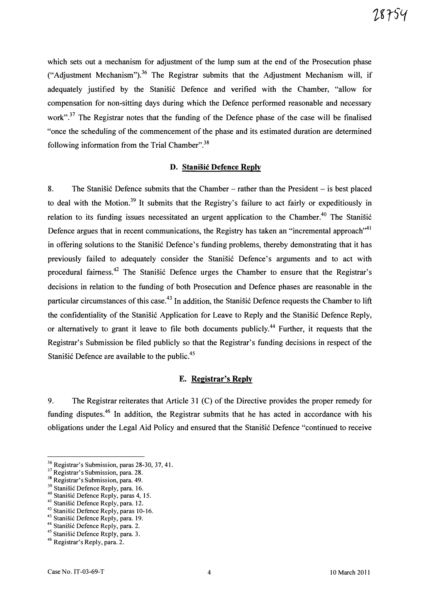which sets out a mechanism for adjustment of the lump sum at the end of the Prosecution phase ("Adjustment Mechanism").<sup>36</sup> The Registrar submits that the Adjustment Mechanism will, if adequately justified by the Stanišić Defence and verified with the Chamber, "allow for compensation for non-sitting days during which the Defence performed reasonable and necessary work",<sup>37</sup> The Registrar notes that the funding of the Defence phase of the case will be finalised "once the scheduling of the commencement of the phase and its estimated duration are determined following information from the Trial Chamber".<sup>38</sup>

#### D. Stanisic Defence Reply

8. The Stanisic Defence submits that the Chamber - rather than the President - is best placed to deal with the Motion.<sup>39</sup> It submits that the Registry's failure to act fairly or expeditiously in relation to its funding issues necessitated an urgent application to the Chamber.<sup>40</sup> The Stanišić Defence argues that in recent communications, the Registry has taken an "incremental approach"<sup>41</sup> in offering solutions to the Stanisic Defence's funding problems, thereby demonstrating that it has previously failed to adequately consider the Stanišić Defence's arguments and to act with procedural fairness.<sup>42</sup> The Stanišić Defence urges the Chamber to ensure that the Registrar's decisions in relation to the funding of both Prosecution and Defence phases are reasonable in the particular circumstances of this case.<sup>43</sup> In addition, the Stanišić Defence requests the Chamber to lift the confidentiality of the Stanišić Application for Leave to Reply and the Stanišić Defence Reply, or alternatively to grant it leave to file both documents publicly.<sup>44</sup> Further, it requests that the Registrar's Submission be filed publicly so that the Registrar's funding decisions in respect of the Stanišić Defence are available to the public. $45$ 

#### E. Registrar's Reply

9. The Registrar reiterates that Article 31 (C) of the Directive provides the proper remedy for funding disputes.<sup>46</sup> In addition, the Registrar submits that he has acted in accordance with his obligations under the Legal Aid Policy and ensured that the StaniSic Defence "continued to receive

<sup>&</sup>lt;sup>36</sup> Registrar's Submission, paras 28-30, 37, 41.

<sup>&</sup>lt;sup>37</sup> Registrar's Submission, para. 28.

<sup>&</sup>lt;sup>38</sup> Registrar's Submission, para. 49.

<sup>&</sup>lt;sup>39</sup> Stanišić Defence Reply, para. 16.

 $\degree$  Stanisic Defence Reply, paras 4, 15.

<sup>&</sup>lt;sup>41</sup> Stanisic Defence Reply, para. 12.

<sup>&</sup>lt;sup>42</sup> Stanišić Defence Reply, paras 10-16.

<sup>&</sup>lt;sup>5</sup> Stanišić Defence Reply, para. 19.

<sup>&</sup>lt;sup>44</sup> Stanišić Defence Reply, para. 2.

<sup>&</sup>lt;sup>45</sup> Stanišić Defence Reply, para. 3.

<sup>&</sup>lt;sup>46</sup> Registrar's Reply, para. 2.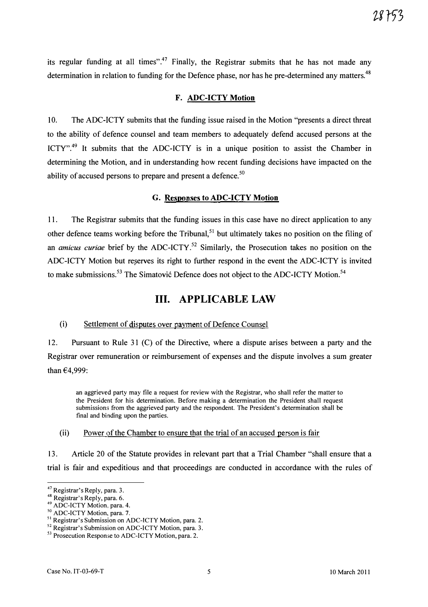its regular funding at all times".<sup>47</sup> Finally, the Registrar submits that he has not made any determination in relation to funding for the Defence phase, nor has he pre-determined any matters.<sup>48</sup>

#### F. ADC-ICTY Motion

10. The ADC-ICTY submits that the funding issue raised in the Motion "presents a direct threat to the ability of defence counsel and team members to adequately defend accused persons at the ICTY".<sup>49</sup> It submits that the ADC-ICTY is in a unique position to assist the Chamber in determining the Motion, and in understanding how recent funding decisions have impacted on the ability of accused persons to prepare and present a defence.<sup>50</sup>

#### G. Responses to ADC-ICTY Motion

11. The Registrar submits that the funding issues in this case have no direct application to any other defence teams working before the Tribunal,<sup>51</sup> but ultimately takes no position on the filing of an *amicus curiae* brief by the ADC-ICTY.<sup>52</sup> Similarly, the Prosecution takes no position on the ADC-ICTY Motion but reserves its right to further respond in the event the ADC-ICTY is invited to make submissions.<sup>53</sup> The Simatović Defence does not object to the ADC-ICTY Motion.<sup>54</sup>

## Ill. APPLICABLE LAW

#### (i) Settlement of disputes over payment of Defence Counsel

12. Pursuant to Rule 31 (C) of the Directive, where a dispute arises between a party and the Registrar over remuneration or reimbursement of expenses and the dispute involves a sum greater than €4,999:

an aggrieved party may file a request for review with the Registrar, who shall refer the matter to the President for his determination. Before making a determination the President shall request submissions from the aggrieved party and the respondent. The President's determination shall be final and binding upon the parties.

#### (ii) Power of the Chamber to ensure that the trial of an accused person is fair

13. Article 20 of the Statute provides in relevant part that a Trial Chamber "shall ensure that a trial is fair and expeditious and that proceedings are conducted in accordance with the rules of

<sup>&</sup>lt;sup>47</sup> Registrar's Reply, para. 3.

<sup>&</sup>lt;sup>48</sup> Registrar's Reply, para. 6.

<sup>&</sup>lt;sup>49</sup> ADC-ICTY Motion, para. 4.

<sup>&</sup>lt;sup>50</sup> ADC-ICTY Motion, para. 7.

<sup>&</sup>lt;sup>51</sup> Registrar's Submission on ADC-ICTY Motion, para. 2.

<sup>&</sup>lt;sup>52</sup> Registrar's Submission on ADC-ICTY Motion, para. 3.

<sup>&</sup>lt;sup>53</sup> Prosecution Response to ADC-ICTY Motion, para. 2.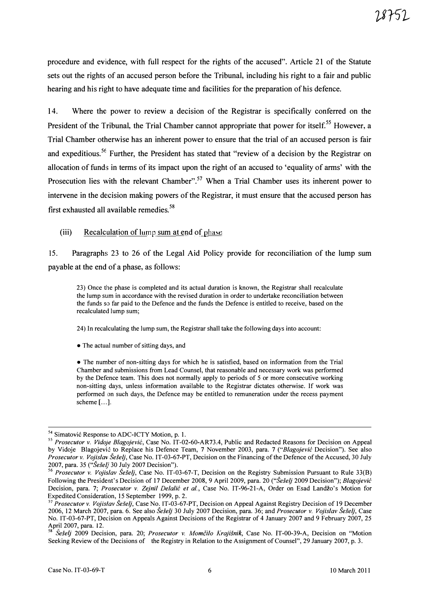procedure and evidence, with full respect for the rights of the accused". Article 21 of the Statute sets out the rights of an accused person before the Tribunal, including his right to a fair and public hearing and his right to have adequate time and facilities for the preparation of his defence.

14. Where the power to review a decision of the Registrar is specifically conferred on the President of the Tribunal, the Trial Chamber cannot appropriate that power for itself.<sup>55</sup> However, a Trial Chamber otherwise has an inherent power to ensure that the trial of an accused person is fair and expeditious.<sup>56</sup> Further, the President has stated that "review of a decision by the Registrar on allocation of funds in terms of its impact upon the right of an accused to 'equality of arms' with the Prosecution lies with the relevant Chamber".<sup>57</sup> When a Trial Chamber uses its inherent power to intervene in the decision making powers of the Registrar, it must ensure that the accused person has first exhausted all available remedies.<sup>58</sup>

#### (iii) Recalculation of lump sum at end of phase

15. Paragraphs 23 to 26 of the Legal Aid Policy provide for reconciliation of the lump sum payable at the end of a phase, as follows:

23) Once the phase is completed and its actual duration is known, the Registrar shall recalculate the lump sum in accordance with the revised duration in order to undertake reconciliation between the funds so far paid to the Defence and the funds the Defence is entitled to receive, based on the recalculated lump sum;

24) In recalculating the lump sum, the Registrar shall take the following days into account:

• The actual number of sitting days, and

• The number of non-sitting days for which he is satisfied, based on information from the Trial Chamber and submissions from Lead Counsel, that reasonable and necessary work was performed by the Defence team. This does not normally apply to periods of 5 or more consecutive working non-sitting days, unless information available to the Registrar dictates otherwise. If work was performed on such days, the Defence may be entitled to remuneration under the recess payment scheme [ ... ].

<sup>&</sup>lt;sup>54</sup> Simatović Response to ADC-ICTY Motion, p. 1.

<sup>&</sup>lt;sup>55</sup> Prosecutor v. Vidoje Blagojević, Case No. IT-02-60-AR73.4, Public and Redacted Reasons for Decision on Appeal by Vidoje Blagojević to Replace his Defence Team, 7 November 2003, para. 7 ("Blagojević Decision"). See also Prosecutor v. Vojislav Šešelj, Case No. IT-03-67-PT, Decision on the Financing of the Defence of the Accused, 30 July 2007, para. 35 ("Šešelį 30 July 2007 Decision").

 $56$  Prosecutor v. Vojislav Šešelj, Case No. IT-03-67-T, Decision on the Registry Submission Pursuant to Rule 33(B) Following the President's Decision of 17 December 2008, 9 April 2009, para. 20 ("Šešelj 2009 Decision"); Blagojević Decision, para. 7; Prosecutor v. Zejnil Delalić et al., Case No. IT-96-21-A, Order on Esad Landžo's Motion for Expedited Consideration, 15 September 1999, p. 2.

<sup>&</sup>lt;sup>57</sup> Prosecutor v. Vojislav Šešelj, Case No. IT-03-67-PT, Decision on Appeal Against Registry Decision of 19 December 2006, 12 March 2007, para. 6. See also Seselj 30 July 2007 Decision, para. 36; and Prosecutor v. Vojislav Šešelj, Case No. IT-03-67-PT, Decision on Appeals Against Decisions of the Registrar of 4 January 2007 and 9 February 2007,25 April 2007, para. 12.

Šešelj 2009 Decision, para. 20; Prosecutor v. Momčilo Krajišnik, Case No. IT-00-39-A, Decision on "Motion Seeking Review of the Decisions of the Registry in Relation to the Assignment of Counsel", 29 January 2007, p. 3.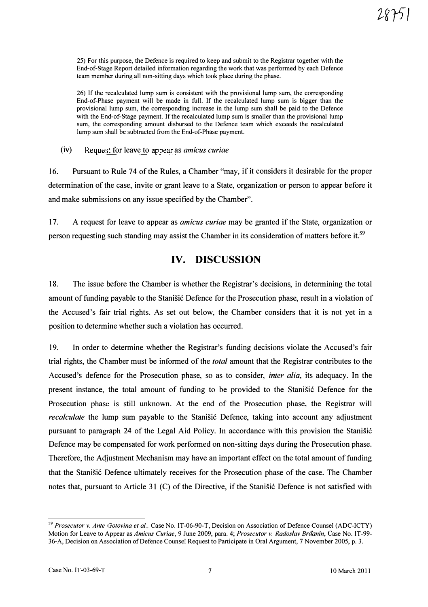25) For this purpose, the Defence is required to keep and submit to the Registrar together with the End-of-Stage Report detailed information regarding the work that was performed by each Defence team member during all non-sitting days which took place during the phase.

26) If the recalculated lump sum is consistent with the provisional lump sum, the corresponding End-of-Phase payment will be made in full. If the recalculated lump sum is bigger than the provisionall lump sum, the corresponding increase in the lump sum shall be paid to the Defence with the End-of-Stage payment. If the recalculated lump sum is smaller than the provisional lump sum, the corresponding amount disbursed to the Defence team which exceeds the recalculated lump sum shall be subtracted from the End-of-Phase payment.

(iv) Request for leave to appear as amicus curiae

16. Pursuant to Rule 74 of the Rules, a Chamber "may, if it considers it desirable for the proper determination of the case, invite or grant leave to a State, organization or person to appear before it and make submissions on any issue specified by the Chamber".

17. A request for leave to appear as *amicus curiae* may be granted if the State, organization or person requesting such standing may assist the Chamber in its consideration of matters before it.<sup>59</sup>

### IV. DISCUSSION

18. The issue before the Chamber is whether the Registrar's decisions, in determining the total amount of funding payable to the Stanisic Defence for the Prosecution phase, result in a violation of the Accused's fair trial rights. As set out below, the Chamber considers that it is not yet in a position to determine whether such a violation has occurred.

19. In order to determine whether the Registrar's funding decisions violate the Accused's fair trial rights, the Chamber must be informed of the *total* amount that the Registrar contributes to the Accused's defence for the Prosecution phase, so as to consider, inter alia, its adequacy. In the present instance, the total amount of funding to be provided to the Stanisic Defence for the Prosecution phase is still unknown. At the end of the Prosecution phase, the Registrar will recalculate the lump sum payable to the Stanisic Defence, taking into account any adjustment pursuant to paragraph 24 of the Legal Aid Policy. In accordance with this provision the StaniSic Defence may be compensated for work performed on non-sitting days during the Prosecution phase. Therefore, the Adjustment Mechanism may have an important effect on the total amount of funding that the Stanisic Defence ultimately receives for the Prosecution phase of the case. The Chamber notes that, pursuant to Article 31 (C) of the Directive, if the Stanisic Defence is not satisfied with

<sup>&</sup>lt;sup>59</sup> Prosecutor v. Ante Gotovina et al., Case No. IT-06-90-T, Decision on Association of Defence Counsel (ADC-ICTY) Motion for Leave to Appear as Amicus Curiae, 9 June 2009, para. 4; Prosecutor v. Radoslav Brāanin, Case No. IT-99-36-A, Decision on Association of Defence Counsel Request to Participate in Oral Argument, 7 November 2005, p. 3.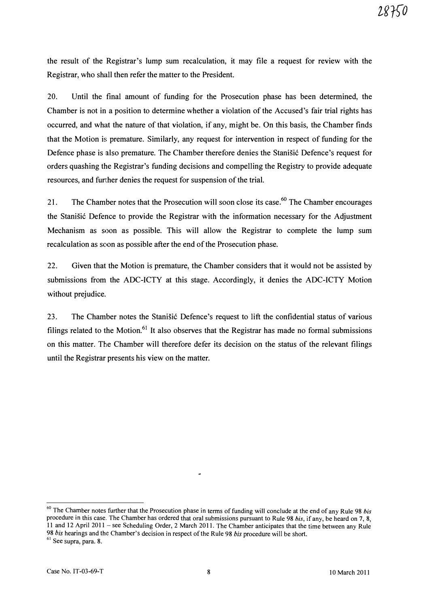the result of the Registrar's lump sum recalculation, it may file a request for review with the Registrar, who shall then refer the matter to the President.

20. Until the final amount of funding for the Prosecution phase has been determined, the Chamber is not in a position to determine whether a violation of the Accused's fair trial rights has occurred, and what the nature of that violation, if any, might be. On this basis, the Chamber finds that the Motion is premature. Similarly, any request for intervention in respect of funding for the Defence phase is also premature. The Chamber therefore denies the Stanisić Defence's request for orders quashing the Registrar's funding decisions and compelling the Registry to provide adequate resources, and further denies the request for suspension of the trial.

21. The Chamber notes that the Prosecution will soon close its case.<sup>60</sup> The Chamber encourages the Stanišić Defence to provide the Registrar with the information necessary for the Adjustment Mechanism as soon as possible. This will allow the Registrar to complete the lump sum recalculation as soon as possible after the end of the Prosecution phase.

22. Given that the Motion is premature, the Chamber considers that it would not be assisted by submissions from the ADC-ICTY at this stage. Accordingly, it denies the ADC-ICTY Motion without prejudice.

23. The Chamber notes the Stanišić Defence's request to lift the confidential status of various filings related to the Motion.<sup>61</sup> It also observes that the Registrar has made no formal submissions on this matter. The Chamber will therefore defer its decision on the status of the relevant filings until the Registrar presents his view on the matter.

 $60$  The Chamber notes further that the Prosecution phase in terms of funding will conclude at the end of any Rule 98 bis procedure in this case. The Chamber has ordered that oral submissions pursuant to Rule 98 bis, if any, be heard on 7, 8, 11 and 12 April 2011 - see Scheduling Order, 2 March 2011. The Chamber anticipates that the time between any Rule 98 bis hearings and the Chamber's decision in respect of the Rule 98 bis procedure will be short.

 $61$  See supra, para. 8.